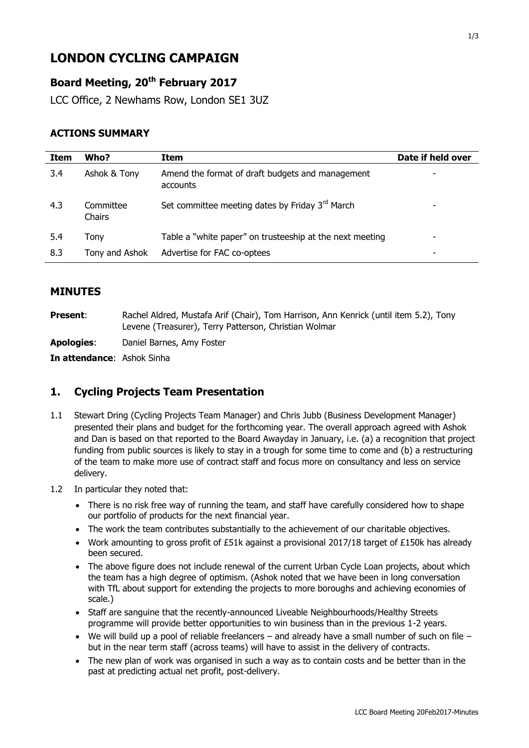# **LONDON CYCLING CAMPAIGN**

# **Board Meeting, 20th February 2017**

LCC Office, 2 Newhams Row, London SE1 3UZ

#### **ACTIONS SUMMARY**

| Item | Who?                | Item                                                         | Date if held over |
|------|---------------------|--------------------------------------------------------------|-------------------|
| 3.4  | Ashok & Tony        | Amend the format of draft budgets and management<br>accounts |                   |
| 4.3  | Committee<br>Chairs | Set committee meeting dates by Friday 3 <sup>rd</sup> March  |                   |
| 5.4  | Tony                | Table a "white paper" on trusteeship at the next meeting     |                   |
| 8.3  | Tony and Ashok      | Advertise for FAC co-optees                                  |                   |

#### **MINUTES**

**Present:** Rachel Aldred, Mustafa Arif (Chair), Tom Harrison, Ann Kenrick (until item 5.2), Tony Levene (Treasurer), Terry Patterson, Christian Wolmar

**Apologies**: Daniel Barnes, Amy Foster

**In attendance**: Ashok Sinha

#### **1. Cycling Projects Team Presentation**

- 1.1 Stewart Dring (Cycling Projects Team Manager) and Chris Jubb (Business Development Manager) presented their plans and budget for the forthcoming year. The overall approach agreed with Ashok and Dan is based on that reported to the Board Awayday in January, i.e. (a) a recognition that project funding from public sources is likely to stay in a trough for some time to come and (b) a restructuring of the team to make more use of contract staff and focus more on consultancy and less on service delivery.
- 1.2 In particular they noted that:
	- There is no risk free way of running the team, and staff have carefully considered how to shape our portfolio of products for the next financial year.
	- The work the team contributes substantially to the achievement of our charitable objectives.
	- Work amounting to gross profit of £51k against a provisional 2017/18 target of £150k has already been secured.
	- The above figure does not include renewal of the current Urban Cycle Loan projects, about which the team has a high degree of optimism. (Ashok noted that we have been in long conversation with TfL about support for extending the projects to more boroughs and achieving economies of scale.)
	- Staff are sanguine that the recently-announced Liveable Neighbourhoods/Healthy Streets programme will provide better opportunities to win business than in the previous 1-2 years.
	- $\bullet$  We will build up a pool of reliable freelancers and already have a small number of such on file but in the near term staff (across teams) will have to assist in the delivery of contracts.
	- The new plan of work was organised in such a way as to contain costs and be better than in the past at predicting actual net profit, post-delivery.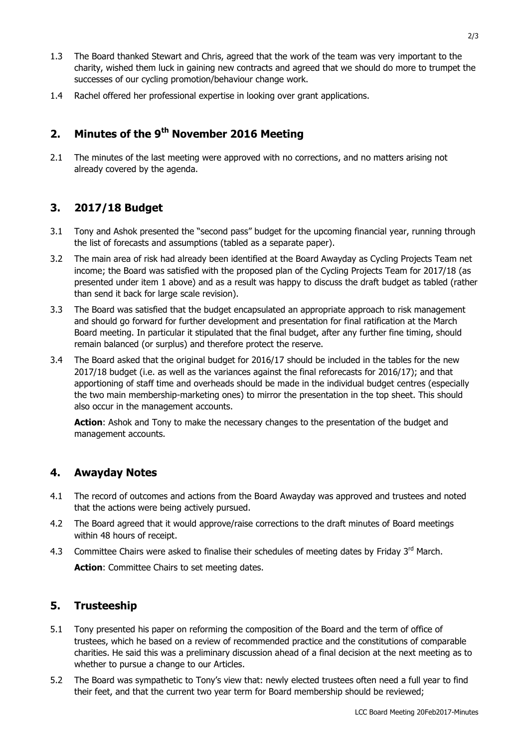- 1.3 The Board thanked Stewart and Chris, agreed that the work of the team was very important to the charity, wished them luck in gaining new contracts and agreed that we should do more to trumpet the successes of our cycling promotion/behaviour change work.
- 1.4 Rachel offered her professional expertise in looking over grant applications.

# **2. Minutes of the 9th November 2016 Meeting**

2.1 The minutes of the last meeting were approved with no corrections, and no matters arising not already covered by the agenda.

# **3. 2017/18 Budget**

- 3.1 Tony and Ashok presented the "second pass" budget for the upcoming financial year, running through the list of forecasts and assumptions (tabled as a separate paper).
- 3.2 The main area of risk had already been identified at the Board Awayday as Cycling Projects Team net income; the Board was satisfied with the proposed plan of the Cycling Projects Team for 2017/18 (as presented under item 1 above) and as a result was happy to discuss the draft budget as tabled (rather than send it back for large scale revision).
- 3.3 The Board was satisfied that the budget encapsulated an appropriate approach to risk management and should go forward for further development and presentation for final ratification at the March Board meeting. In particular it stipulated that the final budget, after any further fine timing, should remain balanced (or surplus) and therefore protect the reserve.
- 3.4 The Board asked that the original budget for 2016/17 should be included in the tables for the new 2017/18 budget (i.e. as well as the variances against the final reforecasts for 2016/17); and that apportioning of staff time and overheads should be made in the individual budget centres (especially the two main membership-marketing ones) to mirror the presentation in the top sheet. This should also occur in the management accounts.

**Action:** Ashok and Tony to make the necessary changes to the presentation of the budget and management accounts.

#### **4. Awayday Notes**

- 4.1 The record of outcomes and actions from the Board Awayday was approved and trustees and noted that the actions were being actively pursued.
- 4.2 The Board agreed that it would approve/raise corrections to the draft minutes of Board meetings within 48 hours of receipt.
- 4.3 Committee Chairs were asked to finalise their schedules of meeting dates by Friday 3<sup>rd</sup> March. **Action**: Committee Chairs to set meeting dates.

## **5. Trusteeship**

- 5.1 Tony presented his paper on reforming the composition of the Board and the term of office of trustees, which he based on a review of recommended practice and the constitutions of comparable charities. He said this was a preliminary discussion ahead of a final decision at the next meeting as to whether to pursue a change to our Articles.
- 5.2 The Board was sympathetic to Tony's view that: newly elected trustees often need a full year to find their feet, and that the current two year term for Board membership should be reviewed;